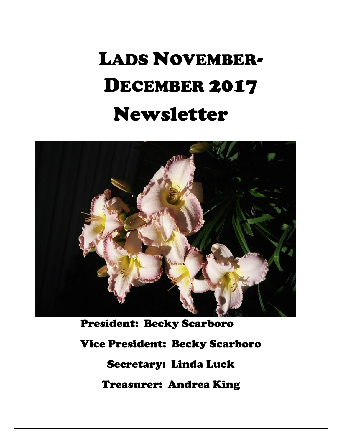# LADS NOVEMBER-DECEMBER 2017 Newsletter



President: Becky Scarboro Vice President: Becky Scarboro Secretary: Linda Luck Treasurer: Andrea King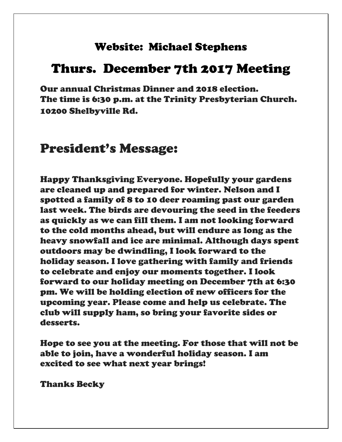#### Website: Michael Stephens

## Thurs. December 7th 2017 Meeting

Our annual Christmas Dinner and 2018 election. The time is 6:30 p.m. at the Trinity Presbyterian Church. 10200 Shelbyville Rd.

## President's Message:

Happy Thanksgiving Everyone. Hopefully your gardens are cleaned up and prepared for winter. Nelson and I spotted a family of 8 to 10 deer roaming past our garden last week. The birds are devouring the seed in the feeders as quickly as we can fill them. I am not looking forward to the cold months ahead, but will endure as long as the heavy snowfall and ice are minimal. Although days spent outdoors may be dwindling, I look forward to the holiday season. I love gathering with family and friends to celebrate and enjoy our moments together. I look forward to our holiday meeting on December 7th at 6:30 pm. We will be holding election of new officers for the upcoming year. Please come and help us celebrate. The club will supply ham, so bring your favorite sides or desserts.

Hope to see you at the meeting. For those that will not be able to join, have a wonderful holiday season. I am excited to see what next year brings!

Thanks Becky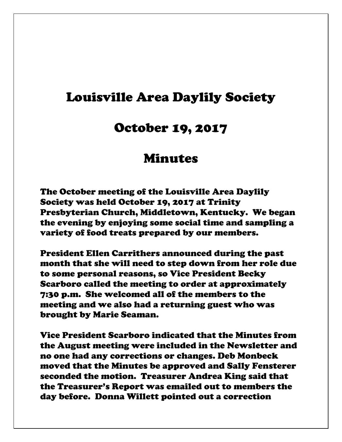## Louisville Area Daylily Society

### October 19, 2017

## Minutes

The October meeting of the Louisville Area Daylily Society was held October 19, 2017 at Trinity Presbyterian Church, Middletown, Kentucky. We began the evening by enjoying some social time and sampling a variety of food treats prepared by our members.

President Ellen Carrithers announced during the past month that she will need to step down from her role due to some personal reasons, so Vice President Becky Scarboro called the meeting to order at approximately 7:30 p.m. She welcomed all of the members to the meeting and we also had a returning guest who was brought by Marie Seaman.

Vice President Scarboro indicated that the Minutes from the August meeting were included in the Newsletter and no one had any corrections or changes. Deb Monbeck moved that the Minutes be approved and Sally Fensterer seconded the motion. Treasurer Andrea King said that the Treasurer's Report was emailed out to members the day before. Donna Willett pointed out a correction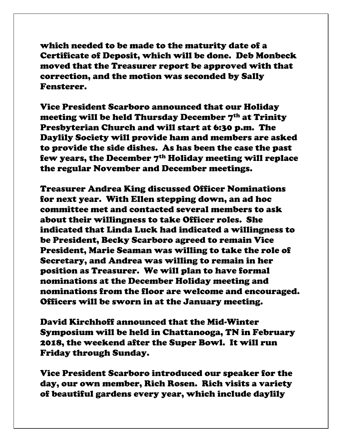which needed to be made to the maturity date of a Certificate of Deposit, which will be done. Deb Monbeck moved that the Treasurer report be approved with that correction, and the motion was seconded by Sally Fensterer.

Vice President Scarboro announced that our Holiday meeting will be held Thursday December 7<sup>th</sup> at Trinity Presbyterian Church and will start at 6:30 p.m. The Daylily Society will provide ham and members are asked to provide the side dishes. As has been the case the past few years, the December  $7<sup>th</sup>$  Holiday meeting will replace the regular November and December meetings.

Treasurer Andrea King discussed Officer Nominations for next year. With Ellen stepping down, an ad hoc committee met and contacted several members to ask about their willingness to take Officer roles. She indicated that Linda Luck had indicated a willingness to be President, Becky Scarboro agreed to remain Vice President, Marie Seaman was willing to take the role of Secretary, and Andrea was willing to remain in her position as Treasurer. We will plan to have formal nominations at the December Holiday meeting and nominations from the floor are welcome and encouraged. Officers will be sworn in at the January meeting.

David Kirchhoff announced that the Mid-Winter Symposium will be held in Chattanooga, TN in February 2018, the weekend after the Super Bowl. It will run Friday through Sunday.

Vice President Scarboro introduced our speaker for the day, our own member, Rich Rosen. Rich visits a variety of beautiful gardens every year, which include daylily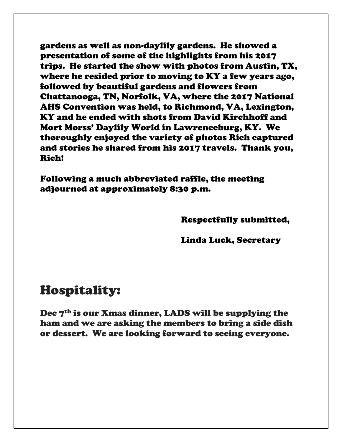gardens as well as non-daylily gardens. He showed a presentation of some of the highlights from his 2017 trips. He started the show with photos from Austin, TX, where he resided prior to moving to KY a few years ago, followed by beautiful gardens and flowers from Chattanooga, TN, Norfolk, VA, where the 2017 National AHS Convention was held, to Richmond, VA, Lexington, KY and he ended with shots from David Kirchhoff and Mort Morss' Daylily World in Lawrenceburg, KY. We thoroughly enjoyed the variety of photos Rich captured and stories he shared from his 2017 travels. Thank you, Rich!

Following a much abbreviated raffle, the meeting adjourned at approximately 8:30 p.m.

Respectfully submitted,

Linda Luck, Secretary

# Hospitality:

Dec 7<sup>th</sup> is our Xmas dinner, LADS will be supplying the ham and we are asking the members to bring a side dish or dessert. We are looking forward to seeing everyone.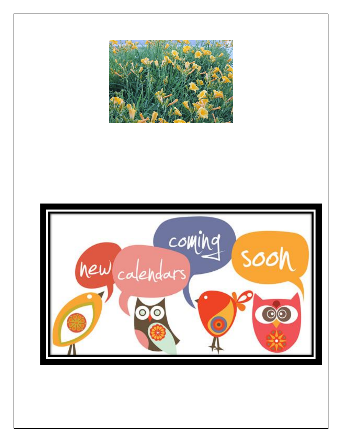

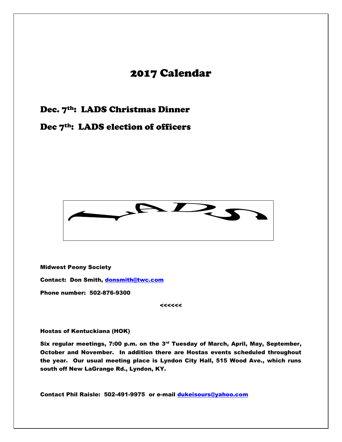#### 2017 Calendar

#### Dec. 7<sup>th</sup>: LADS Christmas Dinner

#### Dec 7<sup>th</sup>: LADS election of officers



Midwest Peony Society

Contact: Don Smith, [donsmith@twc.com](mailto:donsmith@twc.com)

Phone number: 502-876-9300

<<<<<<

Hostas of Kentuckiana (HOK)

Six regular meetings, 7:00 p.m. on the  $3<sup>rd</sup>$  Tuesday of March, April, May, September, October and November. In addition there are Hostas events scheduled throughout the year. Our usual meeting place is Lyndon City Hall, 515 Wood Ave., which runs south off New LaGrange Rd., Lyndon, KY.

Contact Phil Raisle: 502-491-9975 or e-mail [dukeisours@yahoo.com](mailto:dukeisours@yahoo.com)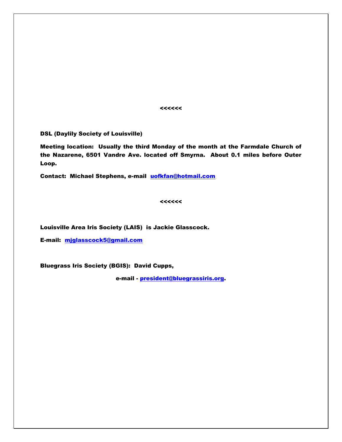<<<<<<

DSL (Daylily Society of Louisville)

Meeting location: Usually the third Monday of the month at the Farmdale Church of the Nazarene, 6501 Vandre Ave. located off Smyrna. About 0.1 miles before Outer Loop.

Contact: Michael Stephens, e-mail [uofkfan@hotmail.com](mailto:uofkfan@hotmail.com)

 $\prec$ < $\prec$ < $\prec$ 

Louisville Area Iris Society (LAIS) is Jackie Glasscock.

E-mail: [mjglasscock5@gmail.com](mailto:mjglasscock5@gmail.com)

Bluegrass Iris Society (BGIS): David Cupps,

e-mail - [president@bluegrassiris.org.](mailto:president@bluegrassiris.org)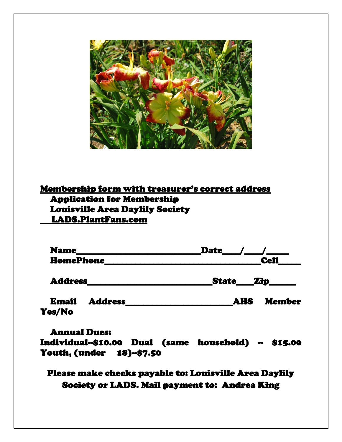

#### Membership form with treasurer's correct address Application for Membership Louisville Area Daylily Society LADS.PlantFans.com

| <b>Name</b><br><b>HomePhone</b>          | <b>Date</b>                 |
|------------------------------------------|-----------------------------|
|                                          | <b>Cell</b>                 |
| <b>Address</b>                           | State Zip_____              |
| <b>Email</b><br><b>Address</b><br>Yes/No | <b>Member</b><br><b>AHS</b> |

Annual Dues: Individual--\$10.00 Dual (same household) -- \$15.00 Youth, (under 18)--\$7.50

Please make checks payable to: Louisville Area Daylily Society or LADS. Mail payment to: Andrea King